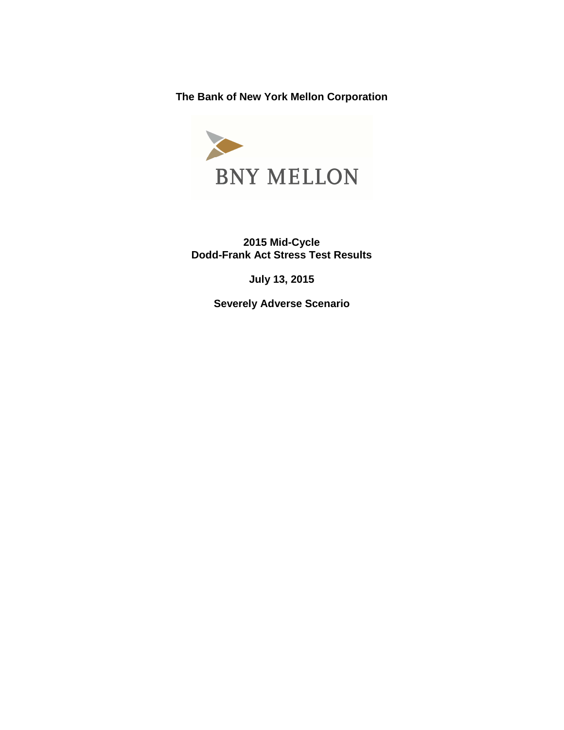**The Bank of New York Mellon Corporation** 



**2015 Mid-Cycle Dodd-Frank Act Stress Test Results** 

**July 13, 2015** 

**Severely Adverse Scenario**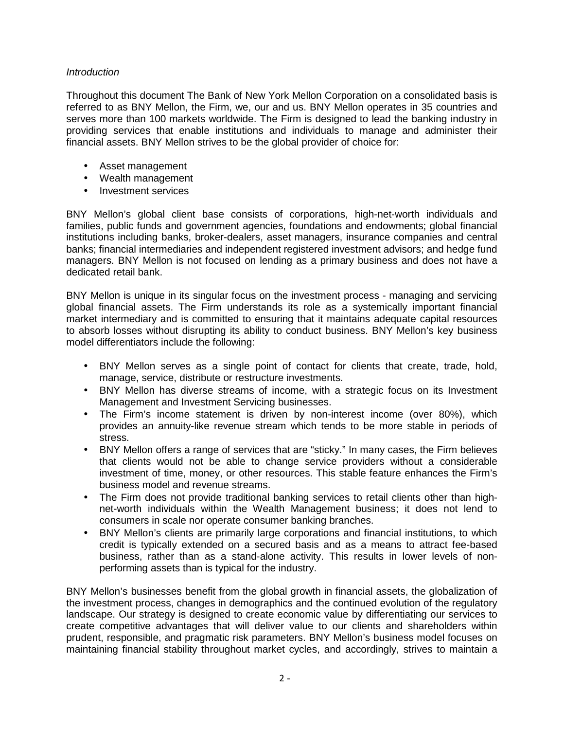## **Introduction**

Throughout this document The Bank of New York Mellon Corporation on a consolidated basis is referred to as BNY Mellon, the Firm, we, our and us. BNY Mellon operates in 35 countries and serves more than 100 markets worldwide. The Firm is designed to lead the banking industry in providing services that enable institutions and individuals to manage and administer their financial assets. BNY Mellon strives to be the global provider of choice for:

- • Asset management
- • Wealth management
- Investment services

BNY Mellon's global client base consists of corporations, high-net-worth individuals and families, public funds and government agencies, foundations and endowments; global financial institutions including banks, broker-dealers, asset managers, insurance companies and central banks; financial intermediaries and independent registered investment advisors; and hedge fund managers. BNY Mellon is not focused on lending as a primary business and does not have a dedicated retail bank.

BNY Mellon is unique in its singular focus on the investment process - managing and servicing global financial assets. The Firm understands its role as a systemically important financial market intermediary and is committed to ensuring that it maintains adequate capital resources to absorb losses without disrupting its ability to conduct business. BNY Mellon's key business model differentiators include the following:

- BNY Mellon serves as a single point of contact for clients that create, trade, hold, manage, service, distribute or restructure investments.
- BNY Mellon has diverse streams of income, with a strategic focus on its Investment Management and Investment Servicing businesses.
- The Firm's income statement is driven by non-interest income (over 80%), which provides an annuity-like revenue stream which tends to be more stable in periods of stress.
- BNY Mellon offers a range of services that are "sticky." In many cases, the Firm believes that clients would not be able to change service providers without a considerable investment of time, money, or other resources. This stable feature enhances the Firm's business model and revenue streams.
- The Firm does not provide traditional banking services to retail clients other than highnet-worth individuals within the Wealth Management business; it does not lend to consumers in scale nor operate consumer banking branches.
- BNY Mellon's clients are primarily large corporations and financial institutions, to which credit is typically extended on a secured basis and as a means to attract fee-based business, rather than as a stand-alone activity. This results in lower levels of nonperforming assets than is typical for the industry.

BNY Mellon's businesses benefit from the global growth in financial assets, the globalization of the investment process, changes in demographics and the continued evolution of the regulatory landscape. Our strategy is designed to create economic value by differentiating our services to create competitive advantages that will deliver value to our clients and shareholders within prudent, responsible, and pragmatic risk parameters. BNY Mellon's business model focuses on maintaining financial stability throughout market cycles, and accordingly, strives to maintain a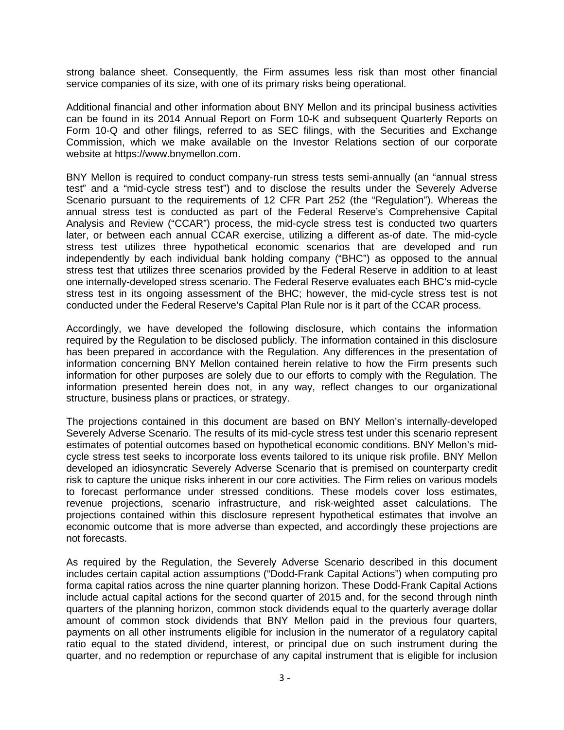strong balance sheet. Consequently, the Firm assumes less risk than most other financial service companies of its size, with one of its primary risks being operational.

Additional financial and other information about BNY Mellon and its principal business activities can be found in its 2014 Annual Report on Form 10-K and subsequent Quarterly Reports on Form 10-Q and other filings, referred to as SEC filings, with the Securities and Exchange Commission, which we make available on the Investor Relations section of our corporate website at [https://www.bnymellon.com](http:https://www.bnymellon.com).

BNY Mellon is required to conduct company-run stress tests semi-annually (an "annual stress test" and a "mid-cycle stress test") and to disclose the results under the Severely Adverse Scenario pursuant to the requirements of 12 CFR Part 252 (the "Regulation"). Whereas the annual stress test is conducted as part of the Federal Reserve's Comprehensive Capital Analysis and Review ("CCAR") process, the mid-cycle stress test is conducted two quarters later, or between each annual CCAR exercise, utilizing a different as-of date. The mid-cycle stress test utilizes three hypothetical economic scenarios that are developed and run independently by each individual bank holding company ("BHC") as opposed to the annual stress test that utilizes three scenarios provided by the Federal Reserve in addition to at least one internally-developed stress scenario. The Federal Reserve evaluates each BHC's mid-cycle stress test in its ongoing assessment of the BHC; however, the mid-cycle stress test is not conducted under the Federal Reserve's Capital Plan Rule nor is it part of the CCAR process.

Accordingly, we have developed the following disclosure, which contains the information required by the Regulation to be disclosed publicly. The information contained in this disclosure has been prepared in accordance with the Regulation. Any differences in the presentation of information concerning BNY Mellon contained herein relative to how the Firm presents such information for other purposes are solely due to our efforts to comply with the Regulation. The information presented herein does not, in any way, reflect changes to our organizational structure, business plans or practices, or strategy.

The projections contained in this document are based on BNY Mellon's internally-developed Severely Adverse Scenario. The results of its mid-cycle stress test under this scenario represent estimates of potential outcomes based on hypothetical economic conditions. BNY Mellon's midcycle stress test seeks to incorporate loss events tailored to its unique risk profile. BNY Mellon developed an idiosyncratic Severely Adverse Scenario that is premised on counterparty credit risk to capture the unique risks inherent in our core activities. The Firm relies on various models to forecast performance under stressed conditions. These models cover loss estimates, revenue projections, scenario infrastructure, and risk-weighted asset calculations. The projections contained within this disclosure represent hypothetical estimates that involve an economic outcome that is more adverse than expected, and accordingly these projections are not forecasts.

As required by the Regulation, the Severely Adverse Scenario described in this document includes certain capital action assumptions ("Dodd-Frank Capital Actions") when computing pro forma capital ratios across the nine quarter planning horizon. These Dodd-Frank Capital Actions include actual capital actions for the second quarter of 2015 and, for the second through ninth quarters of the planning horizon, common stock dividends equal to the quarterly average dollar amount of common stock dividends that BNY Mellon paid in the previous four quarters, payments on all other instruments eligible for inclusion in the numerator of a regulatory capital ratio equal to the stated dividend, interest, or principal due on such instrument during the quarter, and no redemption or repurchase of any capital instrument that is eligible for inclusion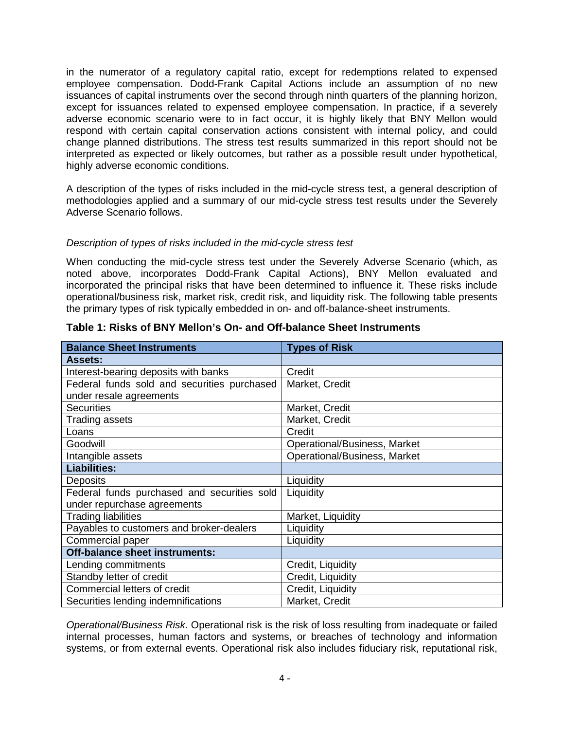in the numerator of a regulatory capital ratio, except for redemptions related to expensed employee compensation. Dodd-Frank Capital Actions include an assumption of no new issuances of capital instruments over the second through ninth quarters of the planning horizon, except for issuances related to expensed employee compensation. In practice, if a severely adverse economic scenario were to in fact occur, it is highly likely that BNY Mellon would respond with certain capital conservation actions consistent with internal policy, and could change planned distributions. The stress test results summarized in this report should not be interpreted as expected or likely outcomes, but rather as a possible result under hypothetical, highly adverse economic conditions.

A description of the types of risks included in the mid-cycle stress test, a general description of methodologies applied and a summary of our mid-cycle stress test results under the Severely Adverse Scenario follows.

## Description of types of risks included in the mid-cycle stress test

When conducting the mid-cycle stress test under the Severely Adverse Scenario (which, as noted above, incorporates Dodd-Frank Capital Actions), BNY Mellon evaluated and incorporated the principal risks that have been determined to influence it. These risks include operational/business risk, market risk, credit risk, and liquidity risk. The following table presents the primary types of risk typically embedded in on- and off-balance-sheet instruments.

| <b>Balance Sheet Instruments</b>            | <b>Types of Risk</b>         |
|---------------------------------------------|------------------------------|
| <b>Assets:</b>                              |                              |
| Interest-bearing deposits with banks        | Credit                       |
| Federal funds sold and securities purchased | Market, Credit               |
| under resale agreements                     |                              |
| <b>Securities</b>                           | Market, Credit               |
| Trading assets                              | Market, Credit               |
| Loans                                       | Credit                       |
| Goodwill                                    | Operational/Business, Market |
| Intangible assets                           | Operational/Business, Market |
| <b>Liabilities:</b>                         |                              |
| <b>Deposits</b>                             | Liquidity                    |
| Federal funds purchased and securities sold | Liquidity                    |
|                                             |                              |
| under repurchase agreements                 |                              |
| <b>Trading liabilities</b>                  | Market, Liquidity            |
| Payables to customers and broker-dealers    | Liquidity                    |
| Commercial paper                            | Liquidity                    |
| <b>Off-balance sheet instruments:</b>       |                              |
| Lending commitments                         | Credit, Liquidity            |
| Standby letter of credit                    | Credit, Liquidity            |
| Commercial letters of credit                | Credit, Liquidity            |

**Table 1: Risks of BNY Mellon's On- and Off-balance Sheet Instruments** 

Operational/Business Risk. Operational risk is the risk of loss resulting from inadequate or failed internal processes, human factors and systems, or breaches of technology and information systems, or from external events. Operational risk also includes fiduciary risk, reputational risk,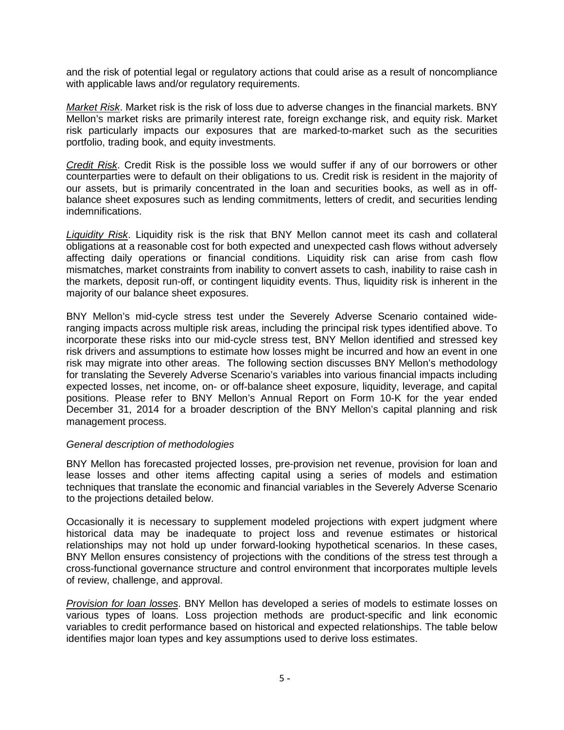and the risk of potential legal or regulatory actions that could arise as a result of noncompliance with applicable laws and/or regulatory requirements.

Market Risk. Market risk is the risk of loss due to adverse changes in the financial markets. BNY Mellon's market risks are primarily interest rate, foreign exchange risk, and equity risk. Market risk particularly impacts our exposures that are marked-to-market such as the securities portfolio, trading book, and equity investments.

Credit Risk. Credit Risk is the possible loss we would suffer if any of our borrowers or other counterparties were to default on their obligations to us. Credit risk is resident in the majority of our assets, but is primarily concentrated in the loan and securities books, as well as in offbalance sheet exposures such as lending commitments, letters of credit, and securities lending indemnifications.

Liquidity Risk. Liquidity risk is the risk that BNY Mellon cannot meet its cash and collateral obligations at a reasonable cost for both expected and unexpected cash flows without adversely affecting daily operations or financial conditions. Liquidity risk can arise from cash flow mismatches, market constraints from inability to convert assets to cash, inability to raise cash in the markets, deposit run-off, or contingent liquidity events. Thus, liquidity risk is inherent in the majority of our balance sheet exposures.

BNY Mellon's mid-cycle stress test under the Severely Adverse Scenario contained wideranging impacts across multiple risk areas, including the principal risk types identified above. To incorporate these risks into our mid-cycle stress test, BNY Mellon identified and stressed key risk drivers and assumptions to estimate how losses might be incurred and how an event in one risk may migrate into other areas. The following section discusses BNY Mellon's methodology for translating the Severely Adverse Scenario's variables into various financial impacts including expected losses, net income, on- or off-balance sheet exposure, liquidity, leverage, and capital positions. Please refer to BNY Mellon's Annual Report on Form 10-K for the year ended December 31, 2014 for a broader description of the BNY Mellon's capital planning and risk management process.

## General description of methodologies

BNY Mellon has forecasted projected losses, pre-provision net revenue, provision for loan and lease losses and other items affecting capital using a series of models and estimation techniques that translate the economic and financial variables in the Severely Adverse Scenario to the projections detailed below.

Occasionally it is necessary to supplement modeled projections with expert judgment where historical data may be inadequate to project loss and revenue estimates or historical relationships may not hold up under forward-looking hypothetical scenarios. In these cases, BNY Mellon ensures consistency of projections with the conditions of the stress test through a cross-functional governance structure and control environment that incorporates multiple levels of review, challenge, and approval.

Provision for loan losses. BNY Mellon has developed a series of models to estimate losses on various types of loans. Loss projection methods are product-specific and link economic variables to credit performance based on historical and expected relationships. The table below identifies major loan types and key assumptions used to derive loss estimates.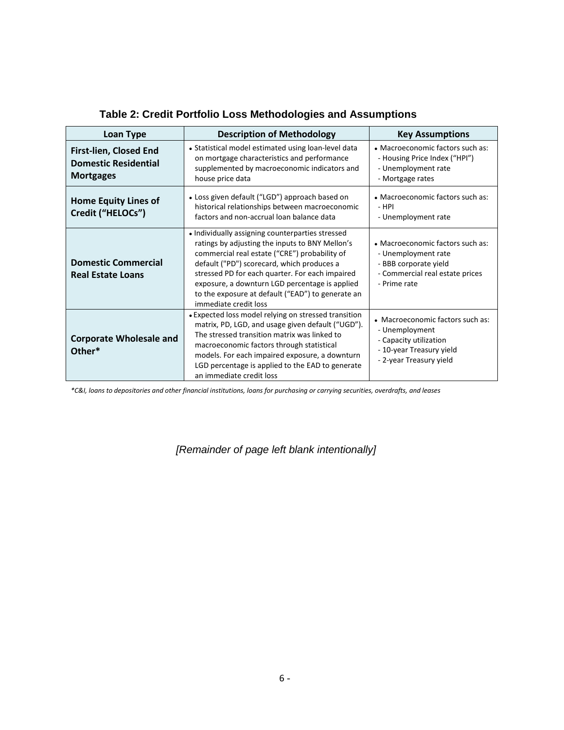| <b>Loan Type</b>                                                                 | <b>Description of Methodology</b>                                                                                                                                                                                                                                                                                                                                                     | <b>Key Assumptions</b>                                                                                                              |
|----------------------------------------------------------------------------------|---------------------------------------------------------------------------------------------------------------------------------------------------------------------------------------------------------------------------------------------------------------------------------------------------------------------------------------------------------------------------------------|-------------------------------------------------------------------------------------------------------------------------------------|
| <b>First-lien, Closed End</b><br><b>Domestic Residential</b><br><b>Mortgages</b> | • Statistical model estimated using loan-level data<br>on mortgage characteristics and performance<br>supplemented by macroeconomic indicators and<br>house price data                                                                                                                                                                                                                | • Macroeconomic factors such as:<br>- Housing Price Index ("HPI")<br>- Unemployment rate<br>- Mortgage rates                        |
| <b>Home Equity Lines of</b><br>Credit ("HELOCs")                                 | • Loss given default ("LGD") approach based on<br>historical relationships between macroeconomic<br>factors and non-accrual loan balance data                                                                                                                                                                                                                                         | • Macroeconomic factors such as:<br>- HPI<br>- Unemployment rate                                                                    |
| <b>Domestic Commercial</b><br><b>Real Estate Loans</b>                           | • Individually assigning counterparties stressed<br>ratings by adjusting the inputs to BNY Mellon's<br>commercial real estate ("CRE") probability of<br>default ("PD") scorecard, which produces a<br>stressed PD for each quarter. For each impaired<br>exposure, a downturn LGD percentage is applied<br>to the exposure at default ("EAD") to generate an<br>immediate credit loss | • Macroeconomic factors such as:<br>- Unemployment rate<br>- BBB corporate yield<br>- Commercial real estate prices<br>- Prime rate |
| <b>Corporate Wholesale and</b><br>Other*                                         | • Expected loss model relying on stressed transition<br>matrix, PD, LGD, and usage given default ("UGD").<br>The stressed transition matrix was linked to<br>macroeconomic factors through statistical<br>models. For each impaired exposure, a downturn<br>LGD percentage is applied to the EAD to generate<br>an immediate credit loss                                              | • Macroeconomic factors such as:<br>- Unemployment<br>- Capacity utilization<br>- 10-year Treasury yield<br>- 2-year Treasury yield |

# **Table 2: Credit Portfolio Loss Methodologies and Assumptions**

*\*C&I, loans to depositories and other financial institutions, loans for purchasing or carrying securities, overdrafts, and leases* 

# [Remainder of page left blank intentionally]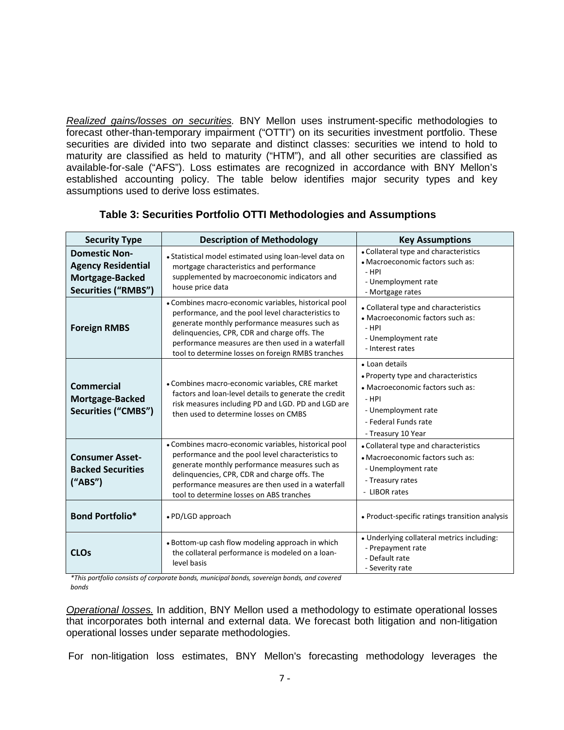Realized gains/losses on securities. BNY Mellon uses instrument-specific methodologies to forecast other-than-temporary impairment ("OTTI") on its securities investment portfolio. These securities are divided into two separate and distinct classes: securities we intend to hold to maturity are classified as held to maturity ("HTM"), and all other securities are classified as available-for-sale ("AFS"). Loss estimates are recognized in accordance with BNY Mellon's established accounting policy. The table below identifies major security types and key assumptions used to derive loss estimates.

| <b>Security Type</b>                                                                               | <b>Description of Methodology</b>                                                                                                                                                                                                                                                                                     | <b>Key Assumptions</b>                                                                                                                                                    |
|----------------------------------------------------------------------------------------------------|-----------------------------------------------------------------------------------------------------------------------------------------------------------------------------------------------------------------------------------------------------------------------------------------------------------------------|---------------------------------------------------------------------------------------------------------------------------------------------------------------------------|
| <b>Domestic Non-</b><br><b>Agency Residential</b><br>Mortgage-Backed<br><b>Securities ("RMBS")</b> | • Statistical model estimated using loan-level data on<br>mortgage characteristics and performance<br>supplemented by macroeconomic indicators and<br>house price data                                                                                                                                                | • Collateral type and characteristics<br>• Macroeconomic factors such as:<br>$-HPI$<br>- Unemployment rate<br>- Mortgage rates                                            |
| <b>Foreign RMBS</b>                                                                                | • Combines macro-economic variables, historical pool<br>performance, and the pool level characteristics to<br>generate monthly performance measures such as<br>delinquencies, CPR, CDR and charge offs. The<br>performance measures are then used in a waterfall<br>tool to determine losses on foreign RMBS tranches | • Collateral type and characteristics<br>• Macroeconomic factors such as:<br>$-$ HPI<br>- Unemployment rate<br>- Interest rates                                           |
| <b>Commercial</b><br>Mortgage-Backed<br><b>Securities ("CMBS")</b>                                 | • Combines macro-economic variables, CRE market<br>factors and loan-level details to generate the credit<br>risk measures including PD and LGD. PD and LGD are<br>then used to determine losses on CMBS                                                                                                               | • Loan details<br>• Property type and characteristics<br>• Macroeconomic factors such as:<br>$-$ HPI<br>- Unemployment rate<br>- Federal Funds rate<br>- Treasury 10 Year |
| <b>Consumer Asset-</b><br><b>Backed Securities</b><br>("ABS")                                      | • Combines macro-economic variables, historical pool<br>performance and the pool level characteristics to<br>generate monthly performance measures such as<br>delinquencies, CPR, CDR and charge offs. The<br>performance measures are then used in a waterfall<br>tool to determine losses on ABS tranches           | • Collateral type and characteristics<br>• Macroeconomic factors such as:<br>- Unemployment rate<br>- Treasury rates<br>- LIBOR rates                                     |
| <b>Bond Portfolio*</b>                                                                             | • PD/LGD approach                                                                                                                                                                                                                                                                                                     | • Product-specific ratings transition analysis                                                                                                                            |
| <b>CLOs</b>                                                                                        | • Bottom-up cash flow modeling approach in which<br>the collateral performance is modeled on a loan-<br>level basis                                                                                                                                                                                                   | • Underlying collateral metrics including:<br>- Prepayment rate<br>- Default rate<br>- Severity rate                                                                      |

# **Table 3: Securities Portfolio OTTI Methodologies and Assumptions**

*\*This portfolio consists of corporate bonds, municipal bonds, sovereign bonds, and covered bonds* �

Operational losses. In addition, BNY Mellon used a methodology to estimate operational losses that incorporates both internal and external data. We forecast both litigation and non-litigation operational losses under separate methodologies.

For non-litigation loss estimates, BNY Mellon's forecasting methodology leverages the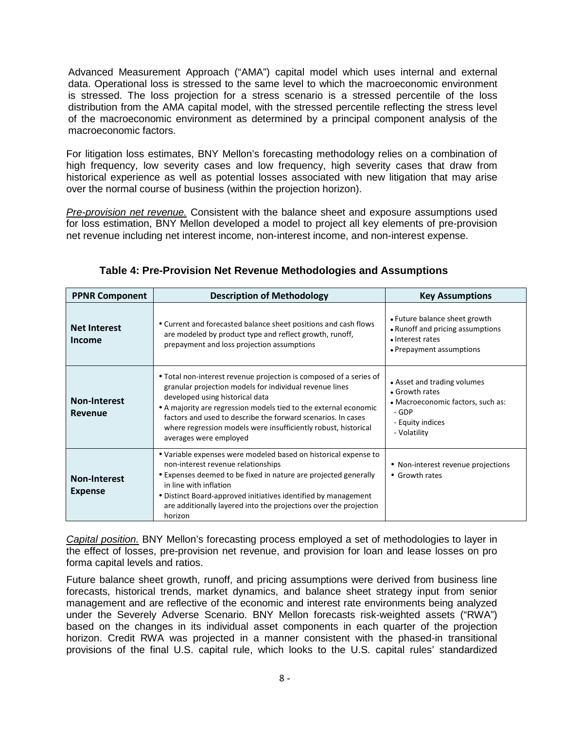Advanced Measurement Approach ("AMA") capital model which uses internal and external data. Operational loss is stressed to the same level to which the macroeconomic environment is stressed. The loss projection for a stress scenario is a stressed percentile of the loss distribution from the AMA capital model, with the stressed percentile reflecting the stress level of the macroeconomic environment as determined by a principal component analysis of the macroeconomic factors.

For litigation loss estimates, BNY Mellon's forecasting methodology relies on a combination of high frequency, low severity cases and low frequency, high severity cases that draw from historical experience as well as potential losses associated with new litigation that may arise over the normal course of business (within the projection horizon).

Pre-provision net revenue. Consistent with the balance sheet and exposure assumptions used for loss estimation, BNY Mellon developed a model to project all key elements of pre-provision net revenue including net interest income, non-interest income, and non-interest expense.

| <b>PPNR Component</b>                 | <b>Description of Methodology</b>                                                                                                                                                                                                                                                                                                                                                                | <b>Key Assumptions</b>                                                                                                          |
|---------------------------------------|--------------------------------------------------------------------------------------------------------------------------------------------------------------------------------------------------------------------------------------------------------------------------------------------------------------------------------------------------------------------------------------------------|---------------------------------------------------------------------------------------------------------------------------------|
| <b>Net Interest</b><br><b>Income</b>  | • Current and forecasted balance sheet positions and cash flows<br>are modeled by product type and reflect growth, runoff,<br>prepayment and loss projection assumptions                                                                                                                                                                                                                         | • Future balance sheet growth<br>• Runoff and pricing assumptions<br>• Interest rates<br>• Prepayment assumptions               |
| <b>Non-Interest</b><br>Revenue        | • Total non-interest revenue projection is composed of a series of<br>granular projection models for individual revenue lines<br>developed using historical data<br>• A majority are regression models tied to the external economic<br>factors and used to describe the forward scenarios. In cases<br>where regression models were insufficiently robust, historical<br>averages were employed | • Asset and trading volumes<br>• Growth rates<br>• Macroeconomic factors, such as:<br>- GDP<br>- Equity indices<br>- Volatility |
| <b>Non-Interest</b><br><b>Expense</b> | • Variable expenses were modeled based on historical expense to<br>non-interest revenue relationships<br>• Expenses deemed to be fixed in nature are projected generally<br>in line with inflation<br>• Distinct Board-approved initiatives identified by management<br>are additionally layered into the projections over the projection<br>horizon                                             | • Non-interest revenue projections<br>• Growth rates                                                                            |

**Table 4: Pre-Provision Net Revenue Methodologies and Assumptions** 

Capital position. BNY Mellon's forecasting process employed a set of methodologies to layer in the effect of losses, pre-provision net revenue, and provision for loan and lease losses on pro forma capital levels and ratios.

Future balance sheet growth, runoff, and pricing assumptions were derived from business line forecasts, historical trends, market dynamics, and balance sheet strategy input from senior management and are reflective of the economic and interest rate environments being analyzed under the Severely Adverse Scenario. BNY Mellon forecasts risk-weighted assets ("RWA") based on the changes in its individual asset components in each quarter of the projection horizon. Credit RWA was projected in a manner consistent with the phased-in transitional provisions of the final U.S. capital rule, which looks to the U.S. capital rules' standardized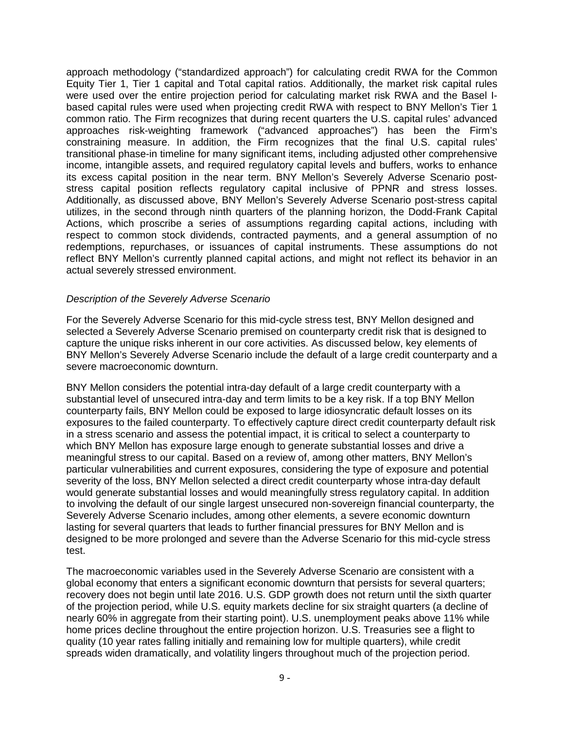approach methodology ("standardized approach") for calculating credit RWA for the Common Equity Tier 1, Tier 1 capital and Total capital ratios. Additionally, the market risk capital rules were used over the entire projection period for calculating market risk RWA and the Basel Ibased capital rules were used when projecting credit RWA with respect to BNY Mellon's Tier 1 common ratio. The Firm recognizes that during recent quarters the U.S. capital rules' advanced approaches risk-weighting framework ("advanced approaches") has been the Firm's constraining measure. In addition, the Firm recognizes that the final U.S. capital rules' transitional phase-in timeline for many significant items, including adjusted other comprehensive income, intangible assets, and required regulatory capital levels and buffers, works to enhance its excess capital position in the near term. BNY Mellon's Severely Adverse Scenario poststress capital position reflects regulatory capital inclusive of PPNR and stress losses. Additionally, as discussed above, BNY Mellon's Severely Adverse Scenario post-stress capital utilizes, in the second through ninth quarters of the planning horizon, the Dodd-Frank Capital Actions, which proscribe a series of assumptions regarding capital actions, including with respect to common stock dividends, contracted payments, and a general assumption of no redemptions, repurchases, or issuances of capital instruments. These assumptions do not reflect BNY Mellon's currently planned capital actions, and might not reflect its behavior in an actual severely stressed environment.

## Description of the Severely Adverse Scenario

For the Severely Adverse Scenario for this mid-cycle stress test, BNY Mellon designed and selected a Severely Adverse Scenario premised on counterparty credit risk that is designed to capture the unique risks inherent in our core activities. As discussed below, key elements of BNY Mellon's Severely Adverse Scenario include the default of a large credit counterparty and a severe macroeconomic downturn.

BNY Mellon considers the potential intra-day default of a large credit counterparty with a substantial level of unsecured intra-day and term limits to be a key risk. If a top BNY Mellon counterparty fails, BNY Mellon could be exposed to large idiosyncratic default losses on its exposures to the failed counterparty. To effectively capture direct credit counterparty default risk in a stress scenario and assess the potential impact, it is critical to select a counterparty to which BNY Mellon has exposure large enough to generate substantial losses and drive a meaningful stress to our capital. Based on a review of, among other matters, BNY Mellon's particular vulnerabilities and current exposures, considering the type of exposure and potential severity of the loss, BNY Mellon selected a direct credit counterparty whose intra-day default would generate substantial losses and would meaningfully stress regulatory capital. In addition to involving the default of our single largest unsecured non-sovereign financial counterparty, the Severely Adverse Scenario includes, among other elements, a severe economic downturn lasting for several quarters that leads to further financial pressures for BNY Mellon and is designed to be more prolonged and severe than the Adverse Scenario for this mid-cycle stress test.

The macroeconomic variables used in the Severely Adverse Scenario are consistent with a global economy that enters a significant economic downturn that persists for several quarters; recovery does not begin until late 2016. U.S. GDP growth does not return until the sixth quarter of the projection period, while U.S. equity markets decline for six straight quarters (a decline of nearly 60% in aggregate from their starting point). U.S. unemployment peaks above 11% while home prices decline throughout the entire projection horizon. U.S. Treasuries see a flight to quality (10 year rates falling initially and remaining low for multiple quarters), while credit spreads widen dramatically, and volatility lingers throughout much of the projection period.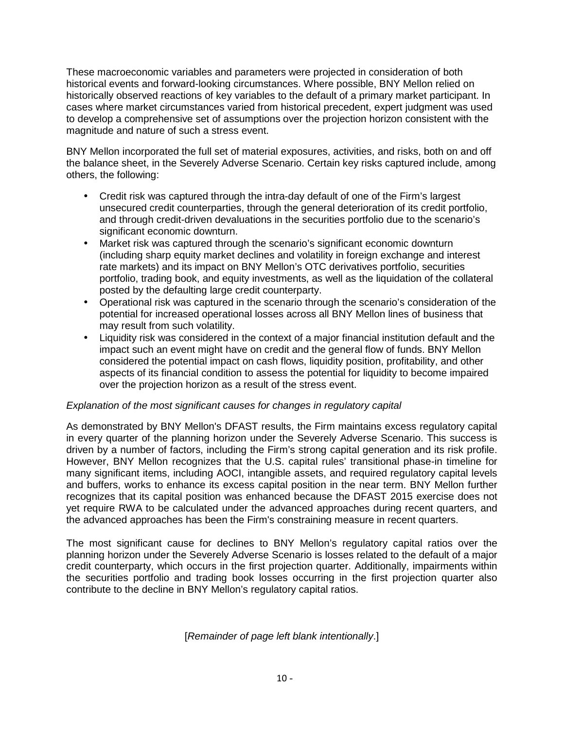These macroeconomic variables and parameters were projected in consideration of both historical events and forward-looking circumstances. Where possible, BNY Mellon relied on historically observed reactions of key variables to the default of a primary market participant. In cases where market circumstances varied from historical precedent, expert judgment was used to develop a comprehensive set of assumptions over the projection horizon consistent with the magnitude and nature of such a stress event.

BNY Mellon incorporated the full set of material exposures, activities, and risks, both on and off the balance sheet, in the Severely Adverse Scenario. Certain key risks captured include, among others, the following:

- Credit risk was captured through the intra-day default of one of the Firm's largest unsecured credit counterparties, through the general deterioration of its credit portfolio, and through credit-driven devaluations in the securities portfolio due to the scenario's significant economic downturn.
- Market risk was captured through the scenario's significant economic downturn (including sharp equity market declines and volatility in foreign exchange and interest rate markets) and its impact on BNY Mellon's OTC derivatives portfolio, securities portfolio, trading book, and equity investments, as well as the liquidation of the collateral posted by the defaulting large credit counterparty.
- Operational risk was captured in the scenario through the scenario's consideration of the potential for increased operational losses across all BNY Mellon lines of business that may result from such volatility.
- Liquidity risk was considered in the context of a major financial institution default and the impact such an event might have on credit and the general flow of funds. BNY Mellon considered the potential impact on cash flows, liquidity position, profitability, and other aspects of its financial condition to assess the potential for liquidity to become impaired over the projection horizon as a result of the stress event.

# Explanation of the most significant causes for changes in regulatory capital

As demonstrated by BNY Mellon's DFAST results, the Firm maintains excess regulatory capital in every quarter of the planning horizon under the Severely Adverse Scenario. This success is driven by a number of factors, including the Firm's strong capital generation and its risk profile. However, BNY Mellon recognizes that the U.S. capital rules' transitional phase-in timeline for many significant items, including AOCI, intangible assets, and required regulatory capital levels and buffers, works to enhance its excess capital position in the near term. BNY Mellon further recognizes that its capital position was enhanced because the DFAST 2015 exercise does not yet require RWA to be calculated under the advanced approaches during recent quarters, and the advanced approaches has been the Firm's constraining measure in recent quarters.

The most significant cause for declines to BNY Mellon's regulatory capital ratios over the planning horizon under the Severely Adverse Scenario is losses related to the default of a major credit counterparty, which occurs in the first projection quarter. Additionally, impairments within the securities portfolio and trading book losses occurring in the first projection quarter also contribute to the decline in BNY Mellon's regulatory capital ratios.

[Remainder of page left blank intentionally.]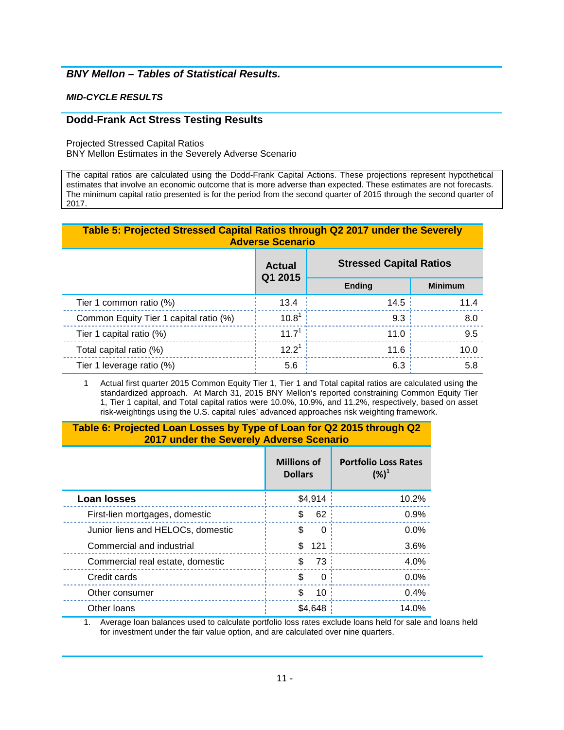# **BNY Mellon – Tables of Statistical Results.**

#### **MID-CYCLE RESULTS**

#### **Dodd-Frank Act Stress Testing Results**

Projected Stressed Capital Ratios

BNY Mellon Estimates in the Severely Adverse Scenario

The capital ratios are calculated using the Dodd-Frank Capital Actions. These projections represent hypothetical estimates that involve an economic outcome that is more adverse than expected. These estimates are not forecasts. The minimum capital ratio presented is for the period from the second quarter of 2015 through the second quarter of 2017.

### **Table 5: Projected Stressed Capital Ratios through Q2 2017 under the Severely Adverse Scenario**

| Table 5: Projected Stressed Capital Ratios through QZ 2017 under the Severely<br><b>Adverse Scenario</b> |                          |                                |                |
|----------------------------------------------------------------------------------------------------------|--------------------------|--------------------------------|----------------|
|                                                                                                          | <b>Actual</b><br>Q1 2015 | <b>Stressed Capital Ratios</b> |                |
|                                                                                                          |                          | <b>Ending</b>                  | <b>Minimum</b> |
| Tier 1 common ratio (%)                                                                                  | 13.4                     | 14.5                           | 11.4           |
| Common Equity Tier 1 capital ratio (%)                                                                   | $10.8^1$                 | 9.3                            | 8.0            |
| Tier 1 capital ratio (%)                                                                                 | $11.7^{1}$               | 11.0                           | 9.5            |
| Total capital ratio (%)                                                                                  | $12.2^1$                 | 11.6                           | 10.0           |
| Tier 1 leverage ratio (%)                                                                                | 5.6                      | 6.3                            | 5.8            |

1 Actual first quarter 2015 Common Equity Tier 1, Tier 1 and Total capital ratios are calculated using the standardized approach. At March 31, 2015 BNY Mellon's reported constraining Common Equity Tier 1, Tier 1 capital, and Total capital ratios were 10.0%, 10.9%, and 11.2%, respectively, based on asset risk-weightings using the U.S. capital rules' advanced approaches risk weighting framework.

## **Table 6: Projected Loan Losses by Type of Loan for Q2 2015 through Q2 2017 under the Severely Adverse Scenario**

|                                   | <b>Millions of</b><br><b>Dollars</b> | <b>Portfolio Loss Rates</b><br>$({\%})^1$ |
|-----------------------------------|--------------------------------------|-------------------------------------------|
| <b>Loan losses</b>                | \$4,914                              | 10.2%                                     |
| First-lien mortgages, domestic    | 62:<br>\$                            | 0.9%                                      |
| Junior liens and HELOCs, domestic | \$<br>0                              | 0.0%                                      |
| Commercial and industrial         | \$<br>121                            | 3.6%                                      |
| Commercial real estate, domestic  | 73<br>\$                             | 4.0%                                      |
| Credit cards                      | \$<br>0                              | 0.0%                                      |
| Other consumer                    | \$<br>10                             | 0.4%                                      |
| Other Ioans                       | \$4,648                              | 14.0%                                     |

' ' 1. Average loan balances used to calculate portfolio loss rates exclude loans held for sale and loans held for investment under the fair value option, and are calculated over nine quarters.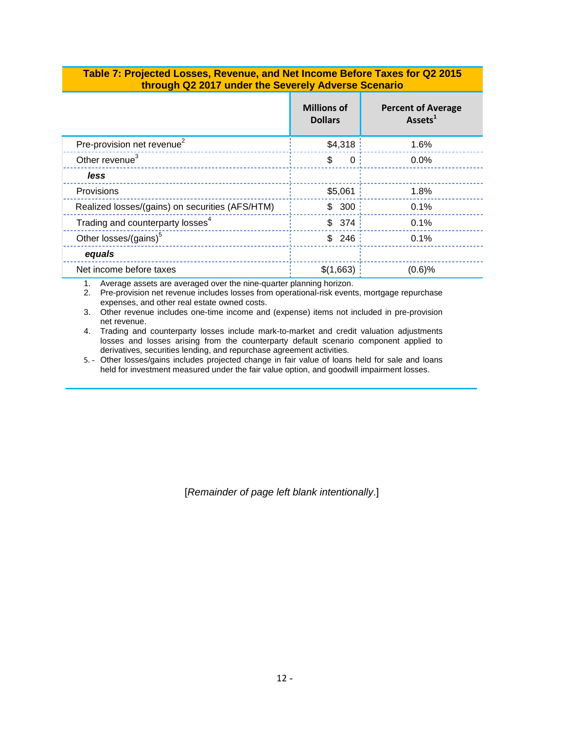## **Table 7: Projected Losses, Revenue, and Net Income Before Taxes for Q2 2015 through Q2 2017 under the Severely Adverse Scenario**

|                                                 | <b>Millions of</b><br><b>Dollars</b> | <b>Percent of Average</b><br>Assets <sup>1</sup> |
|-------------------------------------------------|--------------------------------------|--------------------------------------------------|
| Pre-provision net revenue <sup>2</sup>          | \$4,318                              | 1.6%                                             |
| Other revenue <sup>3</sup>                      | $\mathbf{0}$<br>\$                   | 0.0%                                             |
| less                                            |                                      |                                                  |
| Provisions                                      | \$5,061                              | 1.8%                                             |
| Realized losses/(gains) on securities (AFS/HTM) | \$300                                | 0.1%                                             |
| Trading and counterparty losses <sup>4</sup>    | \$374                                | 0.1%                                             |
| Other losses/(gains) <sup>5</sup>               | \$246                                | 0.1%                                             |
| equals                                          |                                      |                                                  |
| Net income before taxes                         | \$(1,663)                            | $(0.6)$ %                                        |

1. Average assets are averaged over the nine-quarter planning horizon.

2. Pre-provision net revenue includes losses from operational-risk events, mortgage repurchase expenses, and other real estate owned costs.

 3. Other revenue includes one-time income and (expense) items not included in pre-provision net revenue.

4. Trading and counterparty losses include mark-to-market and credit valuation adjustments losses and losses arising from the counterparty default scenario component applied to derivatives, securities lending, and repurchase agreement activities.

5. - Other losses/gains includes projected change in fair value of loans held for sale and loans held for investment measured under the fair value option, and goodwill impairment losses.

[Remainder of page left blank intentionally.]